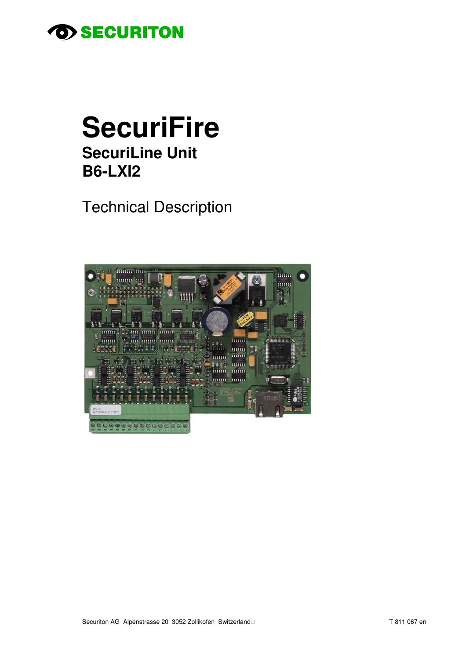

# **SecuriFire SecuriLine Unit B6-LXI2**

**Technical Description** 

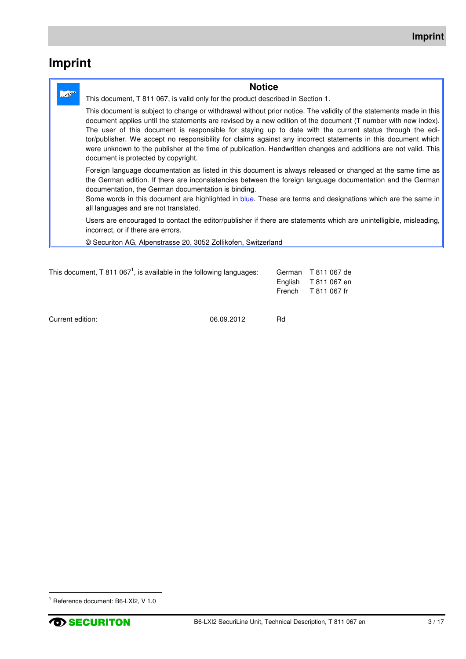## **Imprint**

|              | <b>Notice</b>                                                                                                                                                                                                                                                                                                                                                                                                                                                                                                                                                                                                              |
|--------------|----------------------------------------------------------------------------------------------------------------------------------------------------------------------------------------------------------------------------------------------------------------------------------------------------------------------------------------------------------------------------------------------------------------------------------------------------------------------------------------------------------------------------------------------------------------------------------------------------------------------------|
| $\mathbb{R}$ | This document, T 811 067, is valid only for the product described in Section 1.                                                                                                                                                                                                                                                                                                                                                                                                                                                                                                                                            |
|              | This document is subject to change or withdrawal without prior notice. The validity of the statements made in this<br>document applies until the statements are revised by a new edition of the document (T number with new index).<br>The user of this document is responsible for staying up to date with the current status through the edi-<br>tor/publisher. We accept no responsibility for claims against any incorrect statements in this document which<br>were unknown to the publisher at the time of publication. Handwritten changes and additions are not valid. This<br>document is protected by copyright. |
|              | Foreign language documentation as listed in this document is always released or changed at the same time as<br>the German edition. If there are inconsistencies between the foreign language documentation and the German<br>documentation, the German documentation is binding.<br>Some words in this document are highlighted in blue. These are terms and designations which are the same in<br>all languages and are not translated.                                                                                                                                                                                   |
|              | Users are encouraged to contact the editor/publisher if there are statements which are unintelligible, misleading,<br>incorrect, or if there are errors.                                                                                                                                                                                                                                                                                                                                                                                                                                                                   |
|              | © Securiton AG, Alpenstrasse 20, 3052 Zollikofen, Switzerland                                                                                                                                                                                                                                                                                                                                                                                                                                                                                                                                                              |

| This document, T 811 067 <sup>1</sup> , is available in the following languages: | German T 811 067 de  |
|----------------------------------------------------------------------------------|----------------------|
|                                                                                  | English T 811 067 en |
|                                                                                  | French T 811 067 fr  |
|                                                                                  |                      |
|                                                                                  |                      |

Current edition: 06.09.2012 Rd

l

<sup>&</sup>lt;sup>1</sup> Reference document: B6-LXI2, V 1.0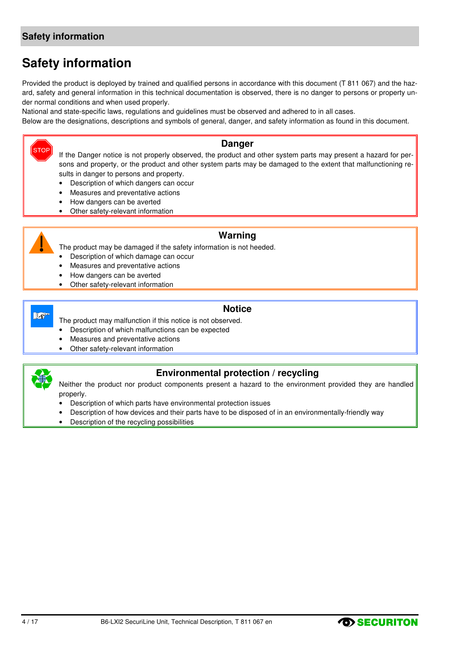### **Safety information**

## **Safety information**

Provided the product is deployed by trained and qualified persons in accordance with this document (T 811 067) and the hazard, safety and general information in this technical documentation is observed, there is no danger to persons or property under normal conditions and when used properly.

National and state-specific laws, regulations and guidelines must be observed and adhered to in all cases.

Below are the designations, descriptions and symbols of general, danger, and safety information as found in this document.

#### **Danger**

If the Danger notice is not properly observed, the product and other system parts may present a hazard for persons and property, or the product and other system parts may be damaged to the extent that malfunctioning results in danger to persons and property.

- Description of which dangers can occur
- Measures and preventative actions
- How dangers can be averted
- Other safety-relevant information



**STOP** 

#### **Warning**

The product may be damaged if the safety information is not heeded.

- Description of which damage can occur
- Measures and preventative actions
- How dangers can be averted
- Other safety-relevant information



#### **Notice**

The product may malfunction if this notice is not observed.

- Description of which malfunctions can be expected
- Measures and preventative actions
- Other safety-relevant information



#### **Environmental protection / recycling**

Neither the product nor product components present a hazard to the environment provided they are handled properly.

- Description of which parts have environmental protection issues
- Description of how devices and their parts have to be disposed of in an environmentally-friendly way
- Description of the recycling possibilities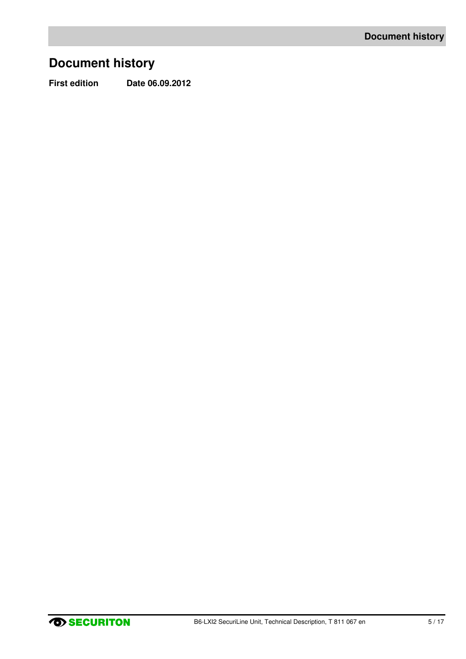## **Document history**

**First edition Date 06.09.2012**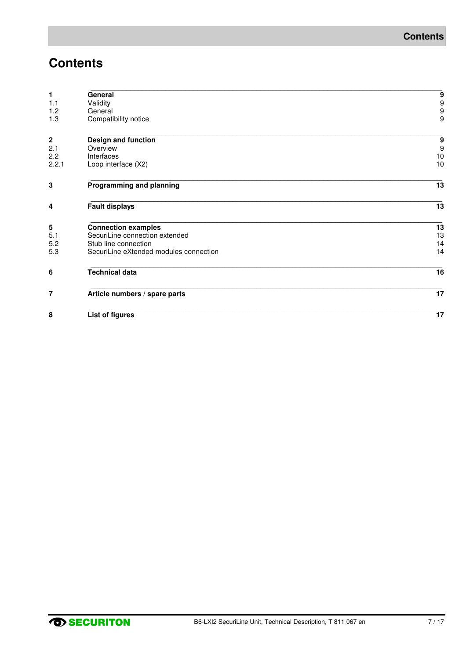## **Contents**

| 1                | General                                | 9                                     |
|------------------|----------------------------------------|---------------------------------------|
| 1.1              | Validity                               |                                       |
| 1.2              | General                                | $\begin{array}{c} 9 \\ 9 \end{array}$ |
| 1.3              | Compatibility notice                   | $\boldsymbol{9}$                      |
|                  |                                        |                                       |
| $\boldsymbol{2}$ | Design and function                    | 9                                     |
| 2.1              | Overview                               | $\overline{9}$                        |
| 2.2              | Interfaces                             | 10                                    |
| 2.2.1            | Loop interface (X2)                    | 10                                    |
| 3                | <b>Programming and planning</b>        | 13                                    |
| 4                | <b>Fault displays</b>                  | 13                                    |
| 5                | <b>Connection examples</b>             | 13                                    |
| 5.1              | SecuriLine connection extended         | 13                                    |
| 5.2              | Stub line connection                   | 14                                    |
| 5.3              | SecuriLine eXtended modules connection | 14                                    |
| 6                | <b>Technical data</b>                  | 16                                    |
| 7                | Article numbers / spare parts          | 17                                    |
| 8                | <b>List of figures</b>                 | 17                                    |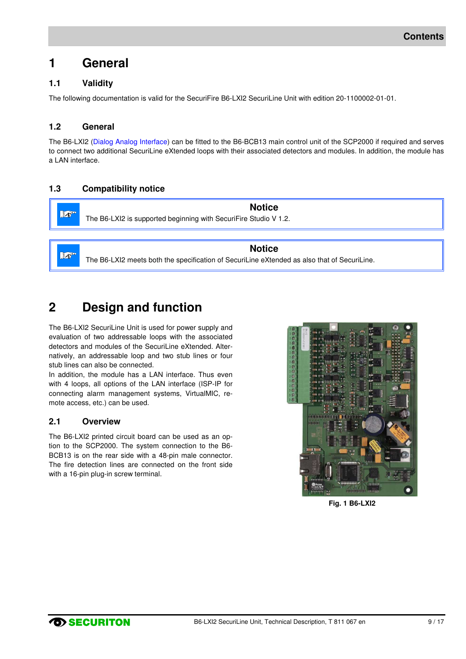## **1 General**

#### **1.1 Validity**

The following documentation is valid for the SecuriFire B6-LXI2 SecuriLine Unit with edition 20-1100002-01-01.

#### **1.2 General**

Le

The B6-LXI2 (Dialog Analog Interface) can be fitted to the B6-BCB13 main control unit of the SCP2000 if required and serves to connect two additional SecuriLine eXtended loops with their associated detectors and modules. In addition, the module has a LAN interface.

#### **1.3 Compatibility notice**

**Notice**  Lor The B6-LXI2 is supported beginning with SecuriFire Studio V 1.2.

**Notice** 

The B6-LXI2 meets both the specification of SecuriLine eXtended as also that of SecuriLine.

## **2 Design and function**

The B6-LXI2 SecuriLine Unit is used for power supply and evaluation of two addressable loops with the associated detectors and modules of the SecuriLine eXtended. Alternatively, an addressable loop and two stub lines or four stub lines can also be connected.

In addition, the module has a LAN interface. Thus even with 4 loops, all options of the LAN interface (ISP-IP for connecting alarm management systems, VirtualMIC, remote access, etc.) can be used.

#### **2.1 Overview**

The B6-LXI2 printed circuit board can be used as an option to the SCP2000. The system connection to the B6- BCB13 is on the rear side with a 48-pin male connector. The fire detection lines are connected on the front side with a 16-pin plug-in screw terminal.



**Fig. 1 B6-LXI2**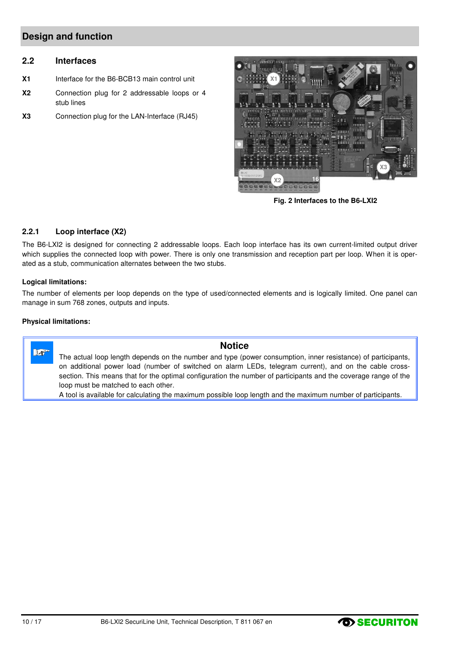#### **Design and function**

#### **2.2 Interfaces**

- **X1** Interface for the B6-BCB13 main control unit
- **X2** Connection plug for 2 addressable loops or 4 stub lines
- **X3** Connection plug for the LAN-Interface (RJ45)



**Fig. 2 Interfaces to the B6-LXI2** 

#### **2.2.1 Loop interface (X2)**

The B6-LXI2 is designed for connecting 2 addressable loops. Each loop interface has its own current-limited output driver which supplies the connected loop with power. There is only one transmission and reception part per loop. When it is operated as a stub, communication alternates between the two stubs.

#### **Logical limitations:**

The number of elements per loop depends on the type of used/connected elements and is logically limited. One panel can manage in sum 768 zones, outputs and inputs.

#### **Physical limitations:**

**Notice**  Lo The actual loop length depends on the number and type (power consumption, inner resistance) of participants, on additional power load (number of switched on alarm LEDs, telegram current), and on the cable crosssection. This means that for the optimal configuration the number of participants and the coverage range of the loop must be matched to each other. A tool is available for calculating the maximum possible loop length and the maximum number of participants.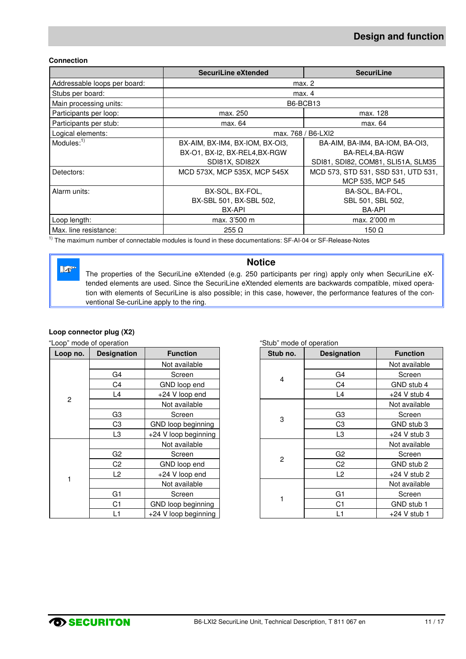#### **Connection**

|                              | SecuriLine eXtended             | <b>SecuriLine</b>                   |  |  |
|------------------------------|---------------------------------|-------------------------------------|--|--|
| Addressable loops per board: | max. 2                          |                                     |  |  |
| Stubs per board:             |                                 | max. 4                              |  |  |
| Main processing units:       |                                 | B6-BCB13                            |  |  |
| Participants per loop:       | max. 250                        | max. 128                            |  |  |
| Participants per stub:       | max. 64                         | max. 64                             |  |  |
| Logical elements:            |                                 | max. 768 / B6-LXI2                  |  |  |
| $Modules:$ <sup>1)</sup>     | BX-AIM, BX-IM4, BX-IOM, BX-OI3, | BA-AIM, BA-IM4, BA-IOM, BA-OI3,     |  |  |
|                              | BX-O1, BX-I2, BX-REL4, BX-RGW   | BA-REL4, BA-RGW                     |  |  |
|                              | SDI81X, SDI82X                  | SDI81, SDI82, COM81, SLI51A, SLM35  |  |  |
| Detectors:                   | MCD 573X, MCP 535X, MCP 545X    | MCD 573, STD 531, SSD 531, UTD 531, |  |  |
|                              |                                 | MCP 535, MCP 545                    |  |  |
| Alarm units:                 | BX-SOL, BX-FOL,                 | BA-SOL, BA-FOL,                     |  |  |
|                              | BX-SBL 501, BX-SBL 502,         | SBL 501, SBL 502,                   |  |  |
|                              | BX-API                          | BA-API                              |  |  |
| Loop length:                 | max. 3'500 m                    | max. 2'000 m                        |  |  |
| Max. line resistance:        | $255 \Omega$                    | 150 Ω                               |  |  |

<sup>1)</sup> The maximum number of connectable modules is found in these documentations: SF-AI-04 or SF-Release-Notes

## Lo

#### **Notice**

The properties of the SecuriLine eXtended (e.g. 250 participants per ring) apply only when SecuriLine eXtended elements are used. Since the SecuriLine eXtended elements are backwards compatible, mixed operation with elements of SecuriLine is also possible; in this case, however, the performance features of the conventional Se-curiLine apply to the ring.

#### **Loop connector plug (X2)**

| Loop no. | <b>Designation</b> | <b>Function</b>      |
|----------|--------------------|----------------------|
|          |                    | Not available        |
|          | G4                 | Screen               |
|          | C <sub>4</sub>     | GND loop end         |
| 2        | L4                 | +24 V loop end       |
|          |                    | Not available        |
|          | G3                 | Screen               |
|          | C <sub>3</sub>     | GND loop beginning   |
|          | L3                 | +24 V loop beginning |
|          |                    | Not available        |
|          | G2                 | Screen               |
|          | C2                 | GND loop end         |
| 1        | L2                 | +24 V loop end       |
|          |                    | Not available        |
|          | G1                 | Screen               |
|          | C <sub>1</sub>     | GND loop beginning   |
|          | L1                 | +24 V loop beginning |

| Loop no.       | <b>Designation</b> | <b>Function</b>      |              | Stub no.       | <b>Designation</b> | <b>Function</b> |
|----------------|--------------------|----------------------|--------------|----------------|--------------------|-----------------|
|                |                    | Not available        |              | 4              |                    | Not available   |
|                | G4                 | Screen               |              |                | G4                 | Screen          |
|                | C4                 | GND loop end         |              |                | C <sub>4</sub>     | GND stub 4      |
| $\overline{c}$ | L4                 | +24 V loop end       |              |                | L4                 | $+24$ V stub 4  |
|                |                    | Not available        |              |                |                    | Not available   |
|                | G <sub>3</sub>     | Screen               |              |                | G <sub>3</sub>     | Screen          |
|                | C <sub>3</sub>     | GND loop beginning   | 3            | C <sub>3</sub> | GND stub 3         |                 |
|                | L3                 | +24 V loop beginning |              |                | L3                 | $+24$ V stub 3  |
|                |                    | Not available        | $\mathbf{2}$ |                | Not available      |                 |
|                | G <sub>2</sub>     | Screen               |              | G <sub>2</sub> | Screen             |                 |
|                | C2                 | GND loop end         |              | C <sub>2</sub> | GND stub 2         |                 |
|                | L <sub>2</sub>     | +24 V loop end       |              | L2             | $+24$ V stub 2     |                 |
| 1              |                    | Not available        |              |                |                    | Not available   |
|                | G <sub>1</sub>     | Screen               |              |                | G <sub>1</sub>     | Screen          |
|                | C1                 | GND loop beginning   |              | C <sub>1</sub> | GND stub 1         |                 |
|                | L1                 | +24 V loop beginning |              |                | L1                 | $+24$ V stub 1  |

"Loop" mode of operation "Stub" mode of operation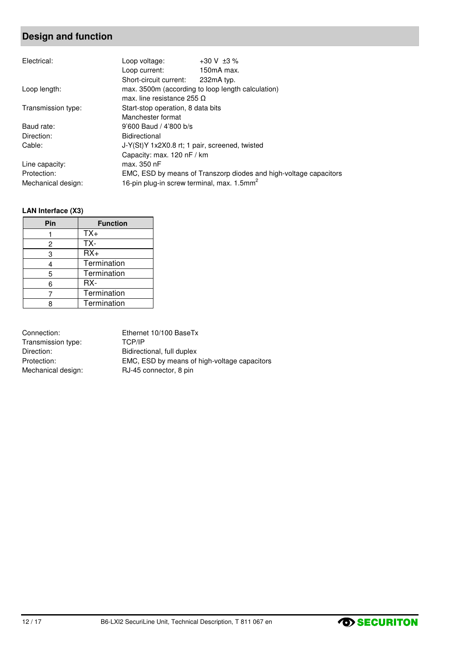## **Design and function**

| Loop voltage:                                          | +30 V $\pm$ 3 %                                                   |
|--------------------------------------------------------|-------------------------------------------------------------------|
| Loop current:                                          | 150mA max.                                                        |
| Short-circuit current:                                 | 232mA typ.                                                        |
|                                                        | max. 3500m (according to loop length calculation)                 |
| max. line resistance 255 Ω                             |                                                                   |
| Start-stop operation, 8 data bits                      |                                                                   |
| Manchester format                                      |                                                                   |
| $9'600$ Baud / $4'800$ b/s                             |                                                                   |
| <b>Bidirectional</b>                                   |                                                                   |
| J-Y(St)Y 1x2X0.8 rt; 1 pair, screened, twisted         |                                                                   |
| Capacity: max. 120 nF / km                             |                                                                   |
| max. 350 nF                                            |                                                                   |
|                                                        | EMC, ESD by means of Transzorp diodes and high-voltage capacitors |
| 16-pin plug-in screw terminal, max. 1.5mm <sup>2</sup> |                                                                   |
|                                                        |                                                                   |

### **LAN Interface (X3)**

| Pin | <b>Function</b> |
|-----|-----------------|
|     | $TX+$           |
| 2   | TX-             |
| 3   | $RX+$           |
| 4   | Termination     |
| 5   | Termination     |
| 6   | RX-             |
|     | Termination     |
|     | Termination     |

| Connection:        | Ethernet 10/100 BaseTx                       |
|--------------------|----------------------------------------------|
| Transmission type: | TCP/IP                                       |
| Direction:         | Bidirectional, full duplex                   |
| Protection:        | EMC, ESD by means of high-voltage capacitors |
| Mechanical design: | RJ-45 connector, 8 pin                       |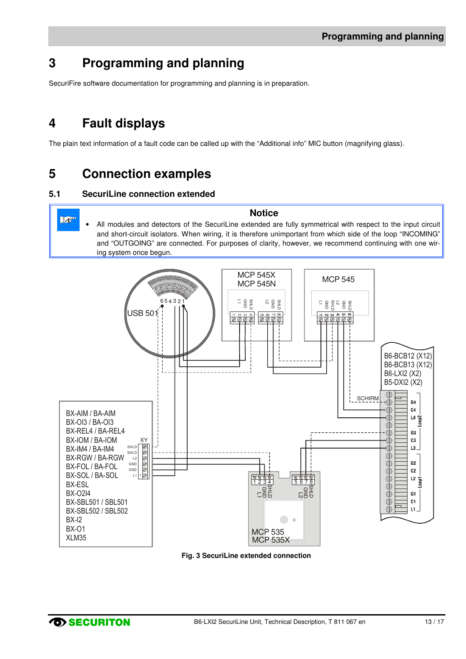## **3 Programming and planning**

SecuriFire software documentation for programming and planning is in preparation.

## **4 Fault displays**

**Le** 

The plain text information of a fault code can be called up with the "Additional info" MIC button (magnifying glass).

## **5 Connection examples**

#### **5.1 SecuriLine connection extended**

#### **Notice**

• All modules and detectors of the SecuriLine extended are fully symmetrical with respect to the input circuit and short-circuit isolators. When wiring, it is therefore unimportant from which side of the loop "INCOMING" and "OUTGOING" are connected. For purposes of clarity, however, we recommend continuing with one wiring system once begun.



**Fig. 3 SecuriLine extended connection**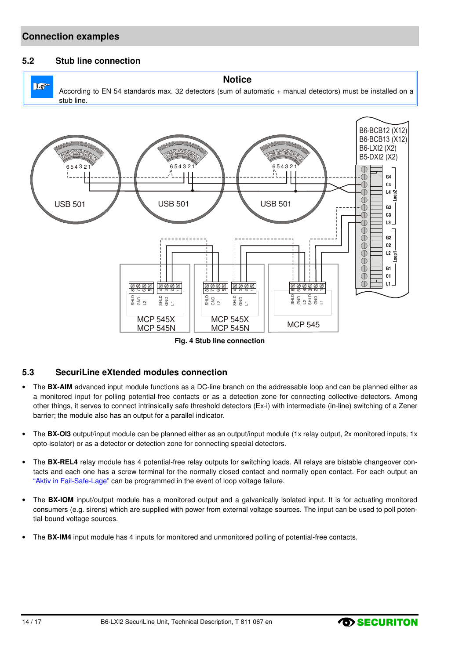#### **Connection examples**

#### **5.2 Stub line connection**



**Notice** 

According to EN 54 standards max. 32 detectors (sum of automatic + manual detectors) must be installed on a stub line.



**Fig. 4 Stub line connection** 

#### **5.3 SecuriLine eXtended modules connection**

- The **BX-AIM** advanced input module functions as a DC-line branch on the addressable loop and can be planned either as a monitored input for polling potential-free contacts or as a detection zone for connecting collective detectors. Among other things, it serves to connect intrinsically safe threshold detectors (Ex-i) with intermediate (in-line) switching of a Zener barrier; the module also has an output for a parallel indicator.
- The **BX-OI3** output/input module can be planned either as an output/input module (1x relay output, 2x monitored inputs, 1x opto-isolator) or as a detector or detection zone for connecting special detectors.
- The **BX-REL4** relay module has 4 potential-free relay outputs for switching loads. All relays are bistable changeover contacts and each one has a screw terminal for the normally closed contact and normally open contact. For each output an "Aktiv in Fail-Safe-Lage" can be programmed in the event of loop voltage failure.
- The **BX-IOM** input/output module has a monitored output and a galvanically isolated input. It is for actuating monitored consumers (e.g. sirens) which are supplied with power from external voltage sources. The input can be used to poll potential-bound voltage sources.
- The **BX-IM4** input module has 4 inputs for monitored and unmonitored polling of potential-free contacts.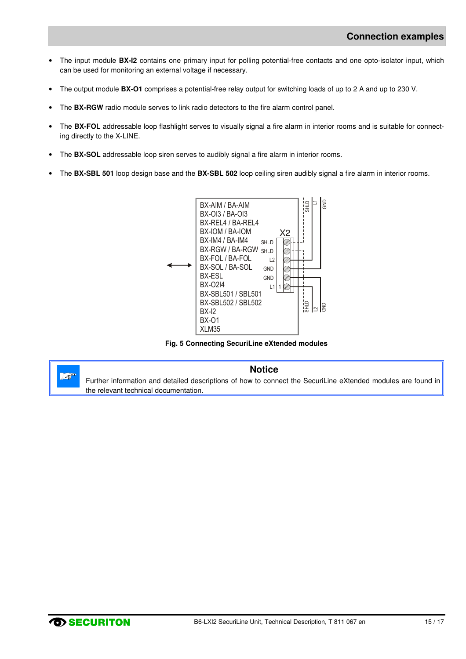- The input module **BX-I2** contains one primary input for polling potential-free contacts and one opto-isolator input, which can be used for monitoring an external voltage if necessary.
- The output module **BX-O1** comprises a potential-free relay output for switching loads of up to 2 A and up to 230 V.
- The **BX-RGW** radio module serves to link radio detectors to the fire alarm control panel.
- The **BX-FOL** addressable loop flashlight serves to visually signal a fire alarm in interior rooms and is suitable for connecting directly to the X-LINE.
- The **BX-SOL** addressable loop siren serves to audibly signal a fire alarm in interior rooms.
- The **BX-SBL 501** loop design base and the **BX-SBL 502** loop ceiling siren audibly signal a fire alarm in interior rooms.



**Fig. 5 Connecting SecuriLine eXtended modules** 



#### **Notice**

Further information and detailed descriptions of how to connect the SecuriLine eXtended modules are found in the relevant technical documentation.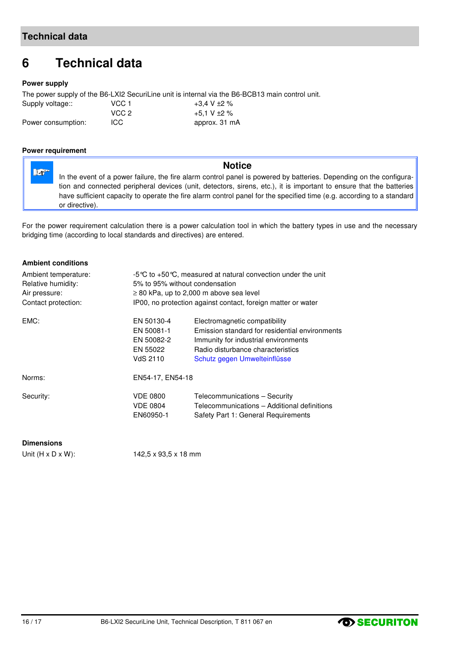## **6 Technical data**

#### **Power supply**

The power supply of the B6-LXI2 SecuriLine unit is internal via the B6-BCB13 main control unit.

| Supply voltage::   | VCC 1 | +3.4 V $\pm$ 2 % |
|--------------------|-------|------------------|
|                    | VCC 2 | +5.1 V $\pm$ 2 % |
| Power consumption: | ICC.  | approx. 31 mA    |

#### **Power requirement**

**Notice** 

**Le** In the event of a power failure, the fire alarm control panel is powered by batteries. Depending on the configuration and connected peripheral devices (unit, detectors, sirens, etc.), it is important to ensure that the batteries have sufficient capacity to operate the fire alarm control panel for the specified time (e.g. according to a standard or directive).

For the power requirement calculation there is a power calculation tool in which the battery types in use and the necessary bridging time (according to local standards and directives) are entered.

| $-5^{\circ}$ C to +50 °C, measured at natural convection under the unit<br>5% to 95% without condensation<br>$\geq$ 80 kPa, up to 2,000 m above sea level<br>IP00, no protection against contact, foreign matter or water |                                                                                                                                                                                              |  |
|---------------------------------------------------------------------------------------------------------------------------------------------------------------------------------------------------------------------------|----------------------------------------------------------------------------------------------------------------------------------------------------------------------------------------------|--|
| EN 50130-4<br>EN 50081-1<br>EN 50082-2<br>EN 55022<br>VdS 2110                                                                                                                                                            | Electromagnetic compatibility<br>Emission standard for residential environments<br>Immunity for industrial environments<br>Radio disturbance characteristics<br>Schutz gegen Umwelteinflüsse |  |
| EN54-17, EN54-18                                                                                                                                                                                                          |                                                                                                                                                                                              |  |
| <b>VDE 0800</b><br><b>VDE 0804</b><br>EN60950-1                                                                                                                                                                           | Telecommunications - Security<br>Telecommunications - Additional definitions<br>Safety Part 1: General Requirements                                                                          |  |
|                                                                                                                                                                                                                           |                                                                                                                                                                                              |  |

#### **Dimensions**

Unit (H x D x W): 142,5 x 93,5 x 18 mm